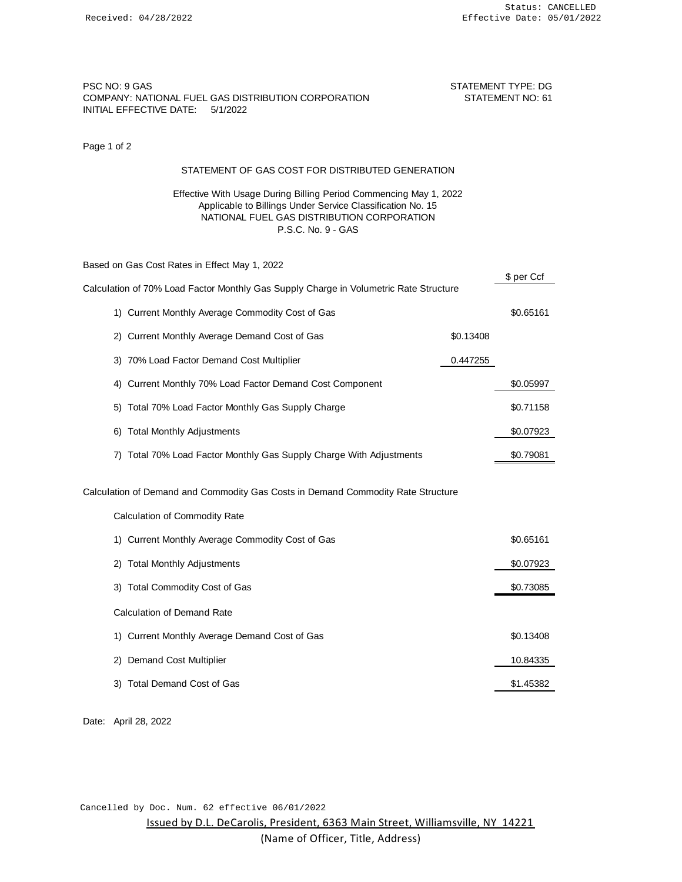# PSC NO: 9 GAS STATEMENT TYPE: DG COMPANY: NATIONAL FUEL GAS DISTRIBUTION CORPORATION STATEMENT NO: 61 INITIAL EFFECTIVE DATE: 5/1/2022

\$ per Ccf

Page 1 of 2

### STATEMENT OF GAS COST FOR DISTRIBUTED GENERATION

### Effective With Usage During Billing Period Commencing May 1, 2022 Applicable to Billings Under Service Classification No. 15 NATIONAL FUEL GAS DISTRIBUTION CORPORATION P.S.C. No. 9 - GAS

Based on Gas Cost Rates in Effect May 1, 2022

|                                                                                  | Calculation of 70% Load Factor Monthly Gas Supply Charge in Volumetric Rate Structure |           |  |  |
|----------------------------------------------------------------------------------|---------------------------------------------------------------------------------------|-----------|--|--|
|                                                                                  | 1) Current Monthly Average Commodity Cost of Gas                                      | \$0.65161 |  |  |
|                                                                                  | 2) Current Monthly Average Demand Cost of Gas                                         | \$0.13408 |  |  |
|                                                                                  | 3) 70% Load Factor Demand Cost Multiplier                                             | 0.447255  |  |  |
|                                                                                  | Current Monthly 70% Load Factor Demand Cost Component<br>4)                           | \$0.05997 |  |  |
|                                                                                  | Total 70% Load Factor Monthly Gas Supply Charge<br>5)                                 | \$0.71158 |  |  |
|                                                                                  | <b>Total Monthly Adjustments</b><br>6)                                                | \$0.07923 |  |  |
|                                                                                  | Total 70% Load Factor Monthly Gas Supply Charge With Adjustments<br>7)                | \$0.79081 |  |  |
| Calculation of Demand and Commodity Gas Costs in Demand Commodity Rate Structure |                                                                                       |           |  |  |
|                                                                                  | Calculation of Commodity Rate                                                         |           |  |  |
|                                                                                  | 1) Current Monthly Average Commodity Cost of Gas                                      | \$0.65161 |  |  |
|                                                                                  | <b>Total Monthly Adjustments</b><br>2)                                                | \$0.07923 |  |  |
|                                                                                  | 3) Total Commodity Cost of Gas                                                        | \$0.73085 |  |  |
|                                                                                  | Calculation of Demand Rate                                                            |           |  |  |
|                                                                                  | 1) Current Monthly Average Demand Cost of Gas                                         | \$0.13408 |  |  |
|                                                                                  | <b>Demand Cost Multiplier</b><br>2)                                                   | 10.84335  |  |  |
|                                                                                  | 3) Total Demand Cost of Gas                                                           | \$1.45382 |  |  |

Date: April 28, 2022

Cancelled by Doc. Num. 62 effective 06/01/2022

Issued by D.L. DeCarolis, President, 6363 Main Street, Williamsville, NY 14221